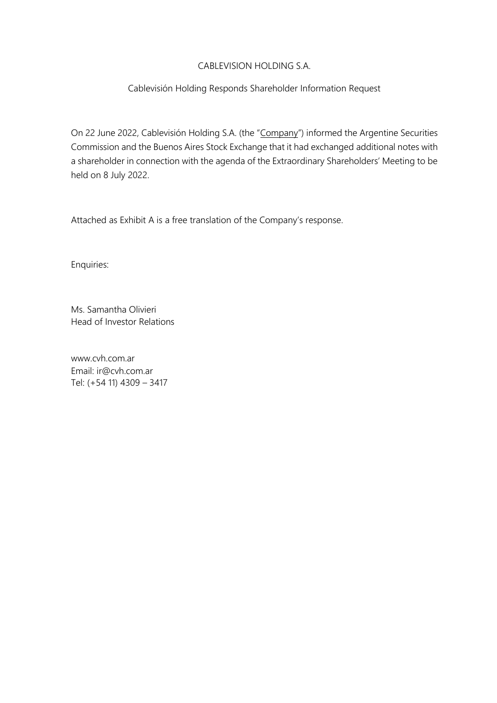# CABLEVISION HOLDING S.A.

# Cablevisión Holding Responds Shareholder Information Request

On 22 June 2022, Cablevisión Holding S.A. (the "Company") informed the Argentine Securities Commission and the Buenos Aires Stock Exchange that it had exchanged additional notes with a shareholder in connection with the agenda of the Extraordinary Shareholders' Meeting to be held on 8 July 2022.

Attached as Exhibit A is a free translation of the Company's response.

Enquiries:

Ms. Samantha Olivieri Head of Investor Relations

www.cvh.com.ar Email: ir@cvh.com.ar Tel: (+54 11) 4309 – 3417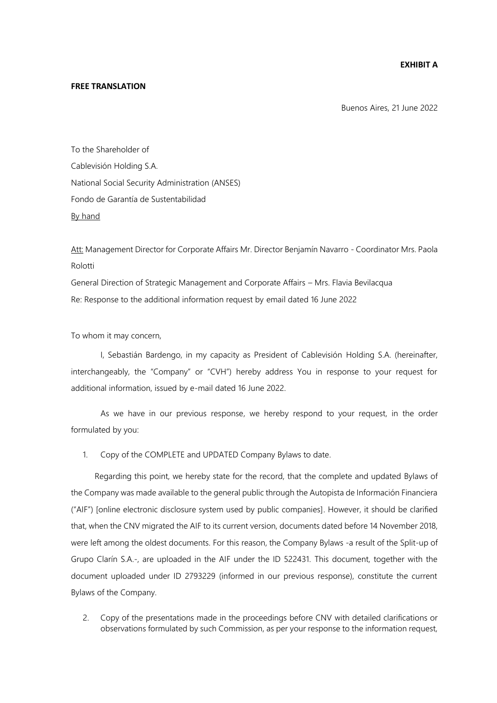## **EXHIBIT A**

#### **FREE TRANSLATION**

Buenos Aires, 21 June 2022

To the Shareholder of Cablevisión Holding S.A. National Social Security Administration (ANSES) Fondo de Garantía de Sustentabilidad By hand

Att: Management Director for Corporate Affairs Mr. Director Benjamín Navarro - Coordinator Mrs. Paola Rolotti

General Direction of Strategic Management and Corporate Affairs – Mrs. Flavia Bevilacqua Re: Response to the additional information request by email dated 16 June 2022

To whom it may concern,

I, Sebastián Bardengo, in my capacity as President of Cablevisión Holding S.A. (hereinafter, interchangeably, the "Company" or "CVH") hereby address You in response to your request for additional information, issued by e-mail dated 16 June 2022.

As we have in our previous response, we hereby respond to your request, in the order formulated by you:

### 1. Copy of the COMPLETE and UPDATED Company Bylaws to date.

Regarding this point, we hereby state for the record, that the complete and updated Bylaws of the Company was made available to the general public through the Autopista de Información Financiera ("AIF") [online electronic disclosure system used by public companies]. However, it should be clarified that, when the CNV migrated the AIF to its current version, documents dated before 14 November 2018, were left among the oldest documents. For this reason, the Company Bylaws -a result of the Split-up of Grupo Clarín S.A.-, are uploaded in the AIF under the ID 522431. This document, together with the document uploaded under ID 2793229 (informed in our previous response), constitute the current Bylaws of the Company.

2. Copy of the presentations made in the proceedings before CNV with detailed clarifications or observations formulated by such Commission, as per your response to the information request,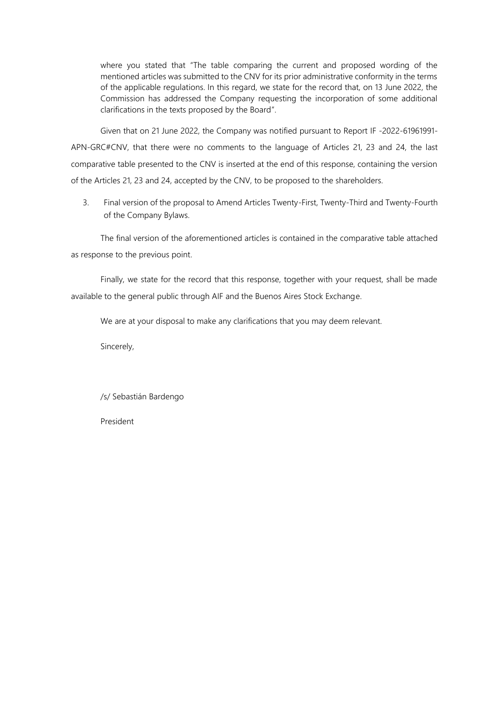where you stated that "The table comparing the current and proposed wording of the mentioned articles was submitted to the CNV for its prior administrative conformity in the terms of the applicable regulations. In this regard, we state for the record that, on 13 June 2022, the Commission has addressed the Company requesting the incorporation of some additional clarifications in the texts proposed by the Board".

Given that on 21 June 2022, the Company was notified pursuant to Report IF -2022-61961991- APN-GRC#CNV, that there were no comments to the language of Articles 21, 23 and 24, the last comparative table presented to the CNV is inserted at the end of this response, containing the version of the Articles 21, 23 and 24, accepted by the CNV, to be proposed to the shareholders.

3. Final version of the proposal to Amend Articles Twenty-First, Twenty-Third and Twenty-Fourth of the Company Bylaws.

The final version of the aforementioned articles is contained in the comparative table attached as response to the previous point.

Finally, we state for the record that this response, together with your request, shall be made available to the general public through AIF and the Buenos Aires Stock Exchange.

We are at your disposal to make any clarifications that you may deem relevant.

Sincerely,

/s/ Sebastián Bardengo

President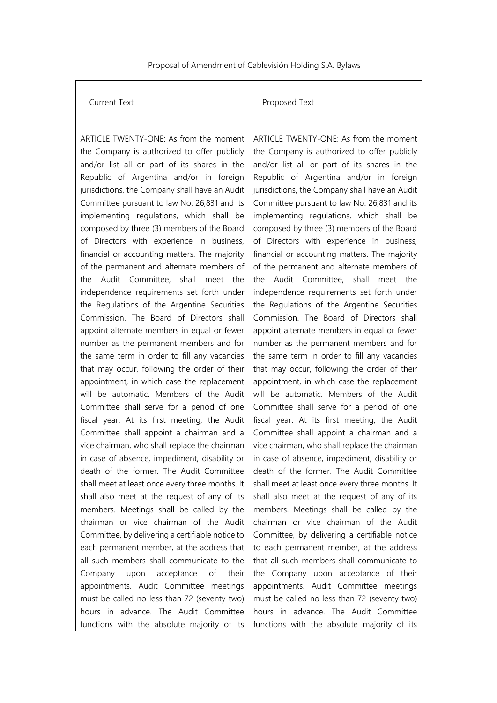## Current Text

ARTICLE TWENTY-ONE: As from the moment the Company is authorized to offer publicly and/or list all or part of its shares in the Republic of Argentina and/or in foreign jurisdictions, the Company shall have an Audit Committee pursuant to law No. 26,831 and its implementing regulations, which shall be composed by three (3) members of the Board of Directors with experience in business, financial or accounting matters. The majority of the permanent and alternate members of the Audit Committee, shall meet the independence requirements set forth under the Regulations of the Argentine Securities Commission. The Board of Directors shall appoint alternate members in equal or fewer number as the permanent members and for the same term in order to fill any vacancies that may occur, following the order of their appointment, in which case the replacement will be automatic. Members of the Audit Committee shall serve for a period of one fiscal year. At its first meeting, the Audit Committee shall appoint a chairman and a vice chairman, who shall replace the chairman in case of absence, impediment, disability or death of the former. The Audit Committee shall meet at least once every three months. It shall also meet at the request of any of its members. Meetings shall be called by the chairman or vice chairman of the Audit Committee, by delivering a certifiable notice to each permanent member, at the address that all such members shall communicate to the Company upon acceptance of their appointments. Audit Committee meetings must be called no less than 72 (seventy two) hours in advance. The Audit Committee functions with the absolute majority of its

### Proposed Text

ARTICLE TWENTY-ONE: As from the moment the Company is authorized to offer publicly and/or list all or part of its shares in the Republic of Argentina and/or in foreign jurisdictions, the Company shall have an Audit Committee pursuant to law No. 26,831 and its implementing regulations, which shall be composed by three (3) members of the Board of Directors with experience in business, financial or accounting matters. The majority of the permanent and alternate members of the Audit Committee, shall meet the independence requirements set forth under the Regulations of the Argentine Securities Commission. The Board of Directors shall appoint alternate members in equal or fewer number as the permanent members and for the same term in order to fill any vacancies that may occur, following the order of their appointment, in which case the replacement will be automatic. Members of the Audit Committee shall serve for a period of one fiscal year. At its first meeting, the Audit Committee shall appoint a chairman and a vice chairman, who shall replace the chairman in case of absence, impediment, disability or death of the former. The Audit Committee shall meet at least once every three months. It shall also meet at the request of any of its members. Meetings shall be called by the chairman or vice chairman of the Audit Committee, by delivering a certifiable notice to each permanent member, at the address that all such members shall communicate to the Company upon acceptance of their appointments. Audit Committee meetings must be called no less than 72 (seventy two) hours in advance. The Audit Committee functions with the absolute majority of its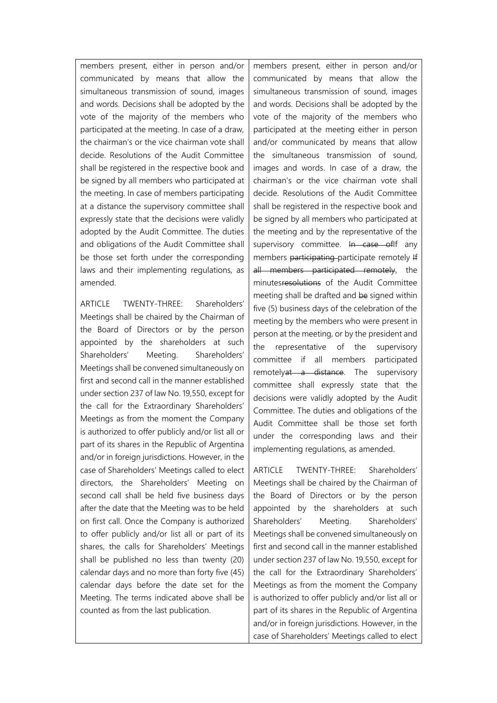members present, either in person and/or communicated by means that allow the simultaneous transmission of sound, images and words. Decisions shall be adopted by the vote of the majority of the members who participated at the meeting. In case of a draw, the chairman's or the vice chairman vote shall decide. Resolutions of the Audit Committee shall be registered in the respective book and be signed by all members who participated at the meeting. In case of members participating at a distance the supervisory committee shall expressly state that the decisions were validly adopted by the Audit Committee. The duties and obligations of the Audit Committee shall be those set forth under the corresponding laws and their implementing regulations, as amended.

ARTICLE TWENTY-THREE: Shareholders' Meetings shall be chaired by the Chairman of the Board of Directors or by the person appointed by the shareholders at such Shareholders' Meeting. Shareholders' Meetings shall be convened simultaneously on first and second call in the manner established under section 237 of law No. 19,550, except for the call for the Extraordinary Shareholders' Meetings as from the moment the Company is authorized to offer publicly and/or list all or part of its shares in the Republic of Argentina and/or in foreign jurisdictions. However, in the case of Shareholders' Meetings called to elect directors, the Shareholders' Meeting on second call shall be held five business days after the date that the Meeting was to be held on first call. Once the Company is authorized to offer publicly and/or list all or part of its shares, the calls for Shareholders' Meetings shall be published no less than twenty (20) calendar days and no more than forty five (45) calendar days before the date set for the Meeting. The terms indicated above shall be counted as from the last publication.

members present, either in person and/or communicated by means that allow the simultaneous transmission of sound, images and words. Decisions shall be adopted by the vote of the majority of the members who participated at the meeting either in person and/or communicated by means that allow the simultaneous transmission of sound, images and words. In case of a draw, the chairman's or the vice chairman vote shall decide. Resolutions of the Audit Committee shall be registered in the respective book and be signed by all members who participated at the meeting and by the representative of the supervisory committee. In case of If any members participating participate remotely If all members participated remotely, the minutesresolutions of the Audit Committee meeting shall be drafted and be signed within five (5) business days of the celebration of the meeting by the members who were present in person at the meeting, or by the president and the representative of the supervisory committee if all members participated remotelyat a distance. The supervisory committee shall expressly state that the decisions were validly adopted by the Audit Committee. The duties and obligations of the Audit Committee shall be those set forth under the corresponding laws and their implementing regulations, as amended.

ARTICLE TWENTY-THREE: Shareholders' Meetings shall be chaired by the Chairman of the Board of Directors or by the person appointed by the shareholders at such Shareholders' Meeting. Shareholders' Meetings shall be convened simultaneously on first and second call in the manner established under section 237 of law No. 19,550, except for the call for the Extraordinary Shareholders' Meetings as from the moment the Company is authorized to offer publicly and/or list all or part of its shares in the Republic of Argentina and/or in foreign jurisdictions. However, in the case of Shareholders' Meetings called to elect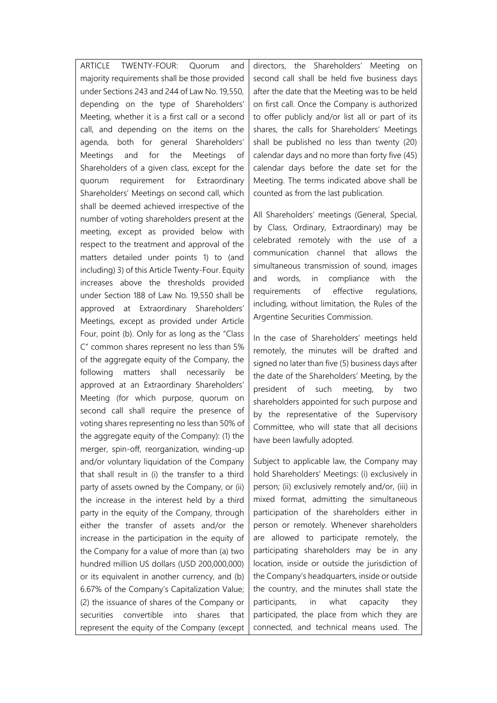ARTICLE TWENTY-FOUR: Quorum and majority requirements shall be those provided under Sections 243 and 244 of Law No. 19,550, depending on the type of Shareholders' Meeting, whether it is a first call or a second call, and depending on the items on the agenda, both for general Shareholders' Meetings and for the Meetings of Shareholders of a given class, except for the quorum requirement for Extraordinary Shareholders' Meetings on second call, which shall be deemed achieved irrespective of the number of voting shareholders present at the meeting, except as provided below with respect to the treatment and approval of the matters detailed under points 1) to (and including) 3) of this Article Twenty-Four. Equity increases above the thresholds provided under Section 188 of Law No. 19,550 shall be approved at Extraordinary Shareholders' Meetings, except as provided under Article Four, point (b). Only for as long as the "Class C" common shares represent no less than 5% of the aggregate equity of the Company, the following matters shall necessarily be approved at an Extraordinary Shareholders' Meeting (for which purpose, quorum on second call shall require the presence of voting shares representing no less than 50% of the aggregate equity of the Company): (1) the merger, spin-off, reorganization, winding-up and/or voluntary liquidation of the Company that shall result in (i) the transfer to a third party of assets owned by the Company, or (ii) the increase in the interest held by a third party in the equity of the Company, through either the transfer of assets and/or the increase in the participation in the equity of the Company for a value of more than (a) two hundred million US dollars (USD 200,000,000) or its equivalent in another currency, and (b) 6.67% of the Company's Capitalization Value; (2) the issuance of shares of the Company or securities convertible into shares that represent the equity of the Company (except

directors, the Shareholders' Meeting on second call shall be held five business days after the date that the Meeting was to be held on first call. Once the Company is authorized to offer publicly and/or list all or part of its shares, the calls for Shareholders' Meetings shall be published no less than twenty (20) calendar days and no more than forty five (45) calendar days before the date set for the Meeting. The terms indicated above shall be counted as from the last publication.

All Shareholders' meetings (General, Special, by Class, Ordinary, Extraordinary) may be celebrated remotely with the use of a communication channel that allows the simultaneous transmission of sound, images and words, in compliance with the requirements of effective regulations, including, without limitation, the Rules of the Argentine Securities Commission.

In the case of Shareholders' meetings held remotely, the minutes will be drafted and signed no later than five (5) business days after the date of the Shareholders' Meeting, by the president of such meeting, by two shareholders appointed for such purpose and by the representative of the Supervisory Committee, who will state that all decisions have been lawfully adopted.

Subject to applicable law, the Company may hold Shareholders' Meetings: (i) exclusively in person; (ii) exclusively remotely and/or, (iii) in mixed format, admitting the simultaneous participation of the shareholders either in person or remotely. Whenever shareholders are allowed to participate remotely, the participating shareholders may be in any location, inside or outside the jurisdiction of the Company's headquarters, inside or outside the country, and the minutes shall state the participants, in what capacity they participated, the place from which they are connected, and technical means used. The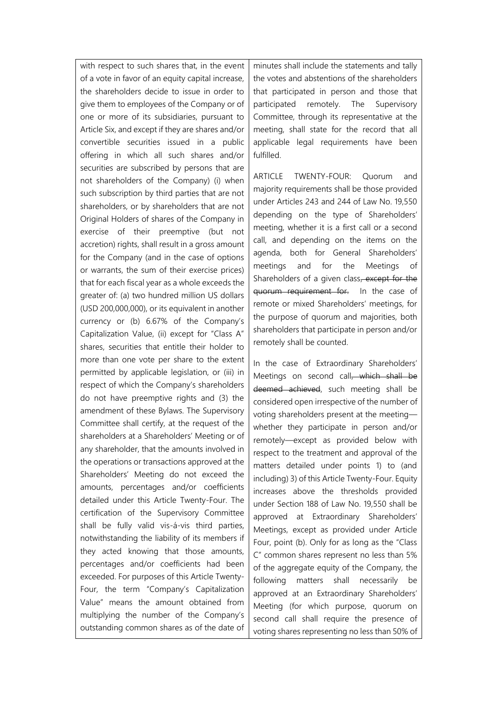with respect to such shares that, in the event of a vote in favor of an equity capital increase, the shareholders decide to issue in order to give them to employees of the Company or of one or more of its subsidiaries, pursuant to Article Six, and except if they are shares and/or convertible securities issued in a public offering in which all such shares and/or securities are subscribed by persons that are not shareholders of the Company) (i) when such subscription by third parties that are not shareholders, or by shareholders that are not Original Holders of shares of the Company in exercise of their preemptive (but not accretion) rights, shall result in a gross amount for the Company (and in the case of options or warrants, the sum of their exercise prices) that for each fiscal year as a whole exceeds the greater of: (a) two hundred million US dollars (USD 200,000,000), or its equivalent in another currency or (b) 6.67% of the Company's Capitalization Value, (ii) except for "Class A" shares, securities that entitle their holder to more than one vote per share to the extent permitted by applicable legislation, or (iii) in respect of which the Company's shareholders do not have preemptive rights and (3) the amendment of these Bylaws. The Supervisory Committee shall certify, at the request of the shareholders at a Shareholders' Meeting or of any shareholder, that the amounts involved in the operations or transactions approved at the Shareholders' Meeting do not exceed the amounts, percentages and/or coefficients detailed under this Article Twenty-Four. The certification of the Supervisory Committee shall be fully valid vis-á-vis third parties, notwithstanding the liability of its members if they acted knowing that those amounts, percentages and/or coefficients had been exceeded. For purposes of this Article Twenty-Four, the term "Company's Capitalization Value" means the amount obtained from multiplying the number of the Company's outstanding common shares as of the date of

minutes shall include the statements and tally the votes and abstentions of the shareholders that participated in person and those that participated remotely. The Supervisory Committee, through its representative at the meeting, shall state for the record that all applicable legal requirements have been fulfilled.

ARTICLE TWENTY-FOUR: Quorum and majority requirements shall be those provided under Articles 243 and 244 of Law No. 19,550 depending on the type of Shareholders' meeting, whether it is a first call or a second call, and depending on the items on the agenda, both for General Shareholders' meetings and for the Meetings of Shareholders of a given class, except for the quorum requirement for. In the case of remote or mixed Shareholders' meetings, for the purpose of quorum and majorities, both shareholders that participate in person and/or remotely shall be counted.

In the case of Extraordinary Shareholders' Meetings on second call, which shall be deemed achieved, such meeting shall be considered open irrespective of the number of voting shareholders present at the meeting whether they participate in person and/or remotely—except as provided below with respect to the treatment and approval of the matters detailed under points 1) to (and including) 3) of this Article Twenty-Four. Equity increases above the thresholds provided under Section 188 of Law No. 19,550 shall be approved at Extraordinary Shareholders' Meetings, except as provided under Article Four, point (b). Only for as long as the "Class C" common shares represent no less than 5% of the aggregate equity of the Company, the following matters shall necessarily be approved at an Extraordinary Shareholders' Meeting (for which purpose, quorum on second call shall require the presence of voting shares representing no less than 50% of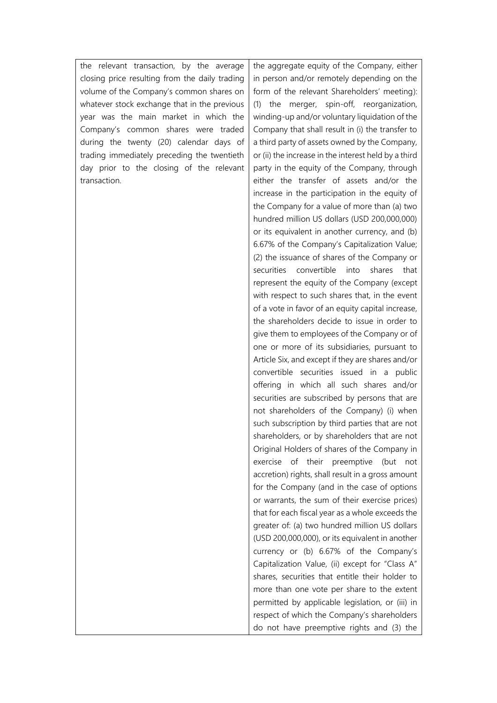the relevant transaction, by the average closing price resulting from the daily trading volume of the Company's common shares on whatever stock exchange that in the previous year was the main market in which the Company's common shares were traded during the twenty (20) calendar days of trading immediately preceding the twentieth day prior to the closing of the relevant transaction.

the aggregate equity of the Company, either in person and/or remotely depending on the form of the relevant Shareholders' meeting): (1) the merger, spin-off, reorganization, winding-up and/or voluntary liquidation of the Company that shall result in (i) the transfer to a third party of assets owned by the Company, or (ii) the increase in the interest held by a third party in the equity of the Company, through either the transfer of assets and/or the increase in the participation in the equity of the Company for a value of more than (a) two hundred million US dollars (USD 200,000,000) or its equivalent in another currency, and (b) 6.67% of the Company's Capitalization Value; (2) the issuance of shares of the Company or securities convertible into shares that represent the equity of the Company (except with respect to such shares that, in the event of a vote in favor of an equity capital increase, the shareholders decide to issue in order to give them to employees of the Company or of one or more of its subsidiaries, pursuant to Article Six, and except if they are shares and/or convertible securities issued in a public offering in which all such shares and/or securities are subscribed by persons that are not shareholders of the Company) (i) when such subscription by third parties that are not shareholders, or by shareholders that are not Original Holders of shares of the Company in exercise of their preemptive (but not accretion) rights, shall result in a gross amount for the Company (and in the case of options or warrants, the sum of their exercise prices) that for each fiscal year as a whole exceeds the greater of: (a) two hundred million US dollars (USD 200,000,000), or its equivalent in another currency or (b) 6.67% of the Company's Capitalization Value, (ii) except for "Class A" shares, securities that entitle their holder to more than one vote per share to the extent permitted by applicable legislation, or (iii) in respect of which the Company's shareholders do not have preemptive rights and (3) the